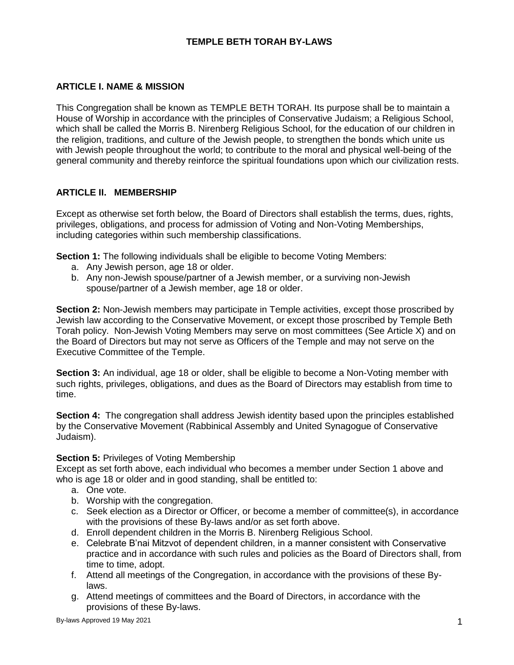# **TEMPLE BETH TORAH BY-LAWS**

# **ARTICLE I. NAME & MISSION**

This Congregation shall be known as TEMPLE BETH TORAH. Its purpose shall be to maintain a House of Worship in accordance with the principles of Conservative Judaism; a Religious School, which shall be called the Morris B. Nirenberg Religious School, for the education of our children in the religion, traditions, and culture of the Jewish people, to strengthen the bonds which unite us with Jewish people throughout the world; to contribute to the moral and physical well-being of the general community and thereby reinforce the spiritual foundations upon which our civilization rests.

### **ARTICLE II. MEMBERSHIP**

Except as otherwise set forth below, the Board of Directors shall establish the terms, dues, rights, privileges, obligations, and process for admission of Voting and Non-Voting Memberships, including categories within such membership classifications.

**Section 1:** The following individuals shall be eligible to become Voting Members:

- a. Any Jewish person, age 18 or older.
- b. Any non-Jewish spouse/partner of a Jewish member, or a surviving non-Jewish spouse/partner of a Jewish member, age 18 or older.

**Section 2:** Non-Jewish members may participate in Temple activities, except those proscribed by Jewish law according to the Conservative Movement, or except those proscribed by Temple Beth Torah policy. Non-Jewish Voting Members may serve on most committees (See Article X) and on the Board of Directors but may not serve as Officers of the Temple and may not serve on the Executive Committee of the Temple.

**Section 3:** An individual, age 18 or older, shall be eligible to become a Non-Voting member with such rights, privileges, obligations, and dues as the Board of Directors may establish from time to time.

**Section 4:** The congregation shall address Jewish identity based upon the principles established by the Conservative Movement (Rabbinical Assembly and United Synagogue of Conservative Judaism).

### **Section 5: Privileges of Voting Membership**

Except as set forth above, each individual who becomes a member under Section 1 above and who is age 18 or older and in good standing, shall be entitled to:

- a. One vote.
- b. Worship with the congregation.
- c. Seek election as a Director or Officer, or become a member of committee(s), in accordance with the provisions of these By-laws and/or as set forth above.
- d. Enroll dependent children in the Morris B. Nirenberg Religious School.
- e. Celebrate B'nai Mitzvot of dependent children, in a manner consistent with Conservative practice and in accordance with such rules and policies as the Board of Directors shall, from time to time, adopt.
- f. Attend all meetings of the Congregation, in accordance with the provisions of these Bylaws.
- g. Attend meetings of committees and the Board of Directors, in accordance with the provisions of these By-laws.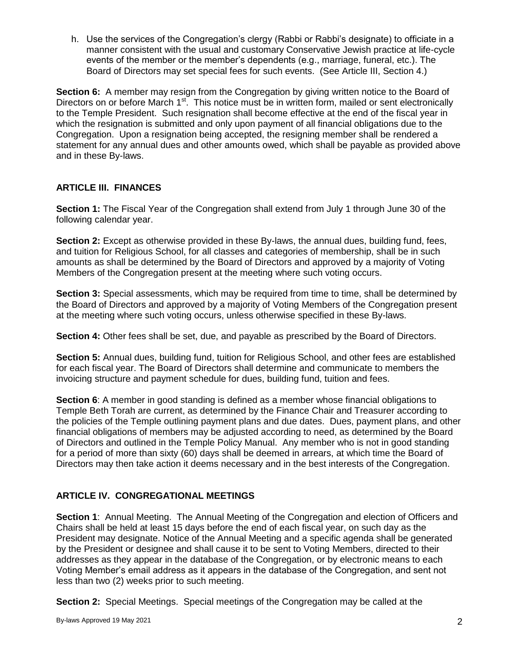h. Use the services of the Congregation's clergy (Rabbi or Rabbi's designate) to officiate in a manner consistent with the usual and customary Conservative Jewish practice at life-cycle events of the member or the member's dependents (e.g., marriage, funeral, etc.). The Board of Directors may set special fees for such events. (See Article III, Section 4.)

**Section 6:** A member may resign from the Congregation by giving written notice to the Board of Directors on or before March 1<sup>st</sup>. This notice must be in written form, mailed or sent electronically to the Temple President. Such resignation shall become effective at the end of the fiscal year in which the resignation is submitted and only upon payment of all financial obligations due to the Congregation. Upon a resignation being accepted, the resigning member shall be rendered a statement for any annual dues and other amounts owed, which shall be payable as provided above and in these By-laws.

# **ARTICLE III. FINANCES**

**Section 1:** The Fiscal Year of the Congregation shall extend from July 1 through June 30 of the following calendar year.

**Section 2:** Except as otherwise provided in these By-laws, the annual dues, building fund, fees, and tuition for Religious School, for all classes and categories of membership, shall be in such amounts as shall be determined by the Board of Directors and approved by a majority of Voting Members of the Congregation present at the meeting where such voting occurs.

**Section 3:** Special assessments, which may be required from time to time, shall be determined by the Board of Directors and approved by a majority of Voting Members of the Congregation present at the meeting where such voting occurs, unless otherwise specified in these By-laws.

**Section 4:** Other fees shall be set, due, and payable as prescribed by the Board of Directors.

**Section 5:** Annual dues, building fund, tuition for Religious School, and other fees are established for each fiscal year. The Board of Directors shall determine and communicate to members the invoicing structure and payment schedule for dues, building fund, tuition and fees.

**Section 6**: A member in good standing is defined as a member whose financial obligations to Temple Beth Torah are current, as determined by the Finance Chair and Treasurer according to the policies of the Temple outlining payment plans and due dates. Dues, payment plans, and other financial obligations of members may be adjusted according to need, as determined by the Board of Directors and outlined in the Temple Policy Manual. Any member who is not in good standing for a period of more than sixty (60) days shall be deemed in arrears, at which time the Board of Directors may then take action it deems necessary and in the best interests of the Congregation.

# **ARTICLE IV. CONGREGATIONAL MEETINGS**

**Section 1**: Annual Meeting. The Annual Meeting of the Congregation and election of Officers and Chairs shall be held at least 15 days before the end of each fiscal year, on such day as the President may designate. Notice of the Annual Meeting and a specific agenda shall be generated by the President or designee and shall cause it to be sent to Voting Members, directed to their addresses as they appear in the database of the Congregation, or by electronic means to each Voting Member's email address as it appears in the database of the Congregation, and sent not less than two (2) weeks prior to such meeting.

**Section 2:** Special Meetings. Special meetings of the Congregation may be called at the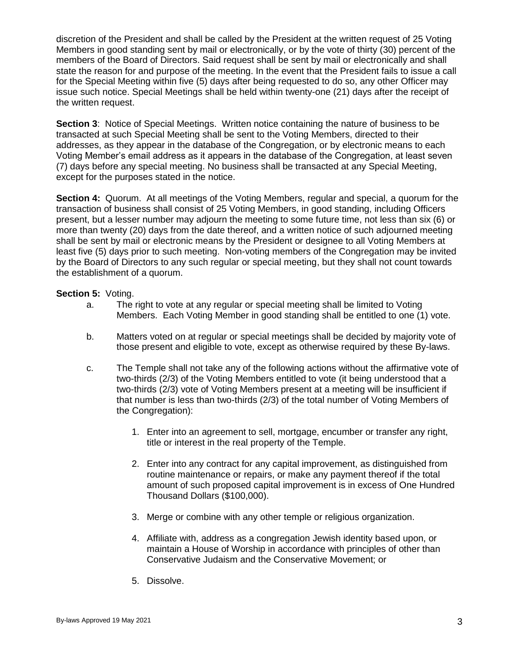discretion of the President and shall be called by the President at the written request of 25 Voting Members in good standing sent by mail or electronically, or by the vote of thirty (30) percent of the members of the Board of Directors. Said request shall be sent by mail or electronically and shall state the reason for and purpose of the meeting. In the event that the President fails to issue a call for the Special Meeting within five (5) days after being requested to do so, any other Officer may issue such notice. Special Meetings shall be held within twenty-one (21) days after the receipt of the written request.

**Section 3:** Notice of Special Meetings. Written notice containing the nature of business to be transacted at such Special Meeting shall be sent to the Voting Members, directed to their addresses, as they appear in the database of the Congregation, or by electronic means to each Voting Member's email address as it appears in the database of the Congregation, at least seven (7) days before any special meeting. No business shall be transacted at any Special Meeting, except for the purposes stated in the notice.

**Section 4:** Quorum. At all meetings of the Voting Members, regular and special, a quorum for the transaction of business shall consist of 25 Voting Members, in good standing, including Officers present, but a lesser number may adjourn the meeting to some future time, not less than six (6) or more than twenty (20) days from the date thereof, and a written notice of such adjourned meeting shall be sent by mail or electronic means by the President or designee to all Voting Members at least five (5) days prior to such meeting. Non-voting members of the Congregation may be invited by the Board of Directors to any such regular or special meeting, but they shall not count towards the establishment of a quorum.

#### **Section 5:** Voting.

- a. The right to vote at any regular or special meeting shall be limited to Voting Members. Each Voting Member in good standing shall be entitled to one (1) vote.
- b. Matters voted on at regular or special meetings shall be decided by majority vote of those present and eligible to vote, except as otherwise required by these By-laws.
- c. The Temple shall not take any of the following actions without the affirmative vote of two-thirds (2/3) of the Voting Members entitled to vote (it being understood that a two-thirds (2/3) vote of Voting Members present at a meeting will be insufficient if that number is less than two-thirds (2/3) of the total number of Voting Members of the Congregation):
	- 1. Enter into an agreement to sell, mortgage, encumber or transfer any right, title or interest in the real property of the Temple.
	- 2. Enter into any contract for any capital improvement, as distinguished from routine maintenance or repairs, or make any payment thereof if the total amount of such proposed capital improvement is in excess of One Hundred Thousand Dollars (\$100,000).
	- 3. Merge or combine with any other temple or religious organization.
	- 4. Affiliate with, address as a congregation Jewish identity based upon, or maintain a House of Worship in accordance with principles of other than Conservative Judaism and the Conservative Movement; or
	- 5. Dissolve.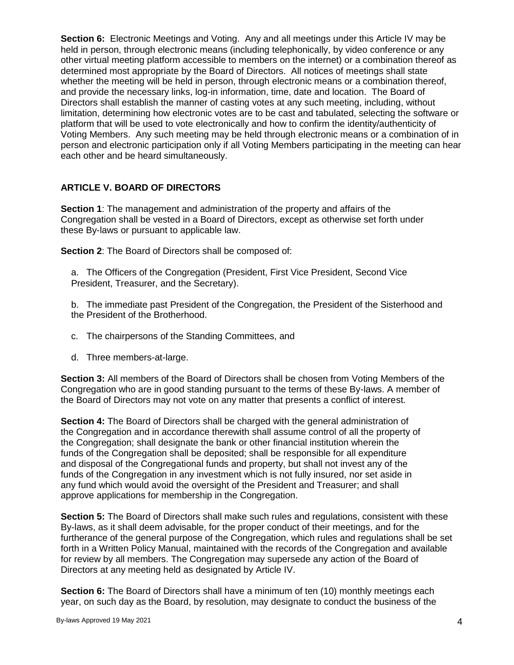**Section 6:** Electronic Meetings and Voting. Any and all meetings under this Article IV may be held in person, through electronic means (including telephonically, by video conference or any other virtual meeting platform accessible to members on the internet) or a combination thereof as determined most appropriate by the Board of Directors. All notices of meetings shall state whether the meeting will be held in person, through electronic means or a combination thereof, and provide the necessary links, log-in information, time, date and location. The Board of Directors shall establish the manner of casting votes at any such meeting, including, without limitation, determining how electronic votes are to be cast and tabulated, selecting the software or platform that will be used to vote electronically and how to confirm the identity/authenticity of Voting Members. Any such meeting may be held through electronic means or a combination of in person and electronic participation only if all Voting Members participating in the meeting can hear each other and be heard simultaneously.

# **ARTICLE V. BOARD OF DIRECTORS**

**Section 1**: The management and administration of the property and affairs of the Congregation shall be vested in a Board of Directors, except as otherwise set forth under these By-laws or pursuant to applicable law.

**Section 2**: The Board of Directors shall be composed of:

a. The Officers of the Congregation (President, First Vice President, Second Vice President, Treasurer, and the Secretary).

b. The immediate past President of the Congregation, the President of the Sisterhood and the President of the Brotherhood.

- c. The chairpersons of the Standing Committees, and
- d. Three members-at-large.

**Section 3:** All members of the Board of Directors shall be chosen from Voting Members of the Congregation who are in good standing pursuant to the terms of these By-laws. A member of the Board of Directors may not vote on any matter that presents a conflict of interest.

**Section 4:** The Board of Directors shall be charged with the general administration of the Congregation and in accordance therewith shall assume control of all the property of the Congregation; shall designate the bank or other financial institution wherein the funds of the Congregation shall be deposited; shall be responsible for all expenditure and disposal of the Congregational funds and property, but shall not invest any of the funds of the Congregation in any investment which is not fully insured, nor set aside in any fund which would avoid the oversight of the President and Treasurer; and shall approve applications for membership in the Congregation.

**Section 5:** The Board of Directors shall make such rules and regulations, consistent with these By-laws, as it shall deem advisable, for the proper conduct of their meetings, and for the furtherance of the general purpose of the Congregation, which rules and regulations shall be set forth in a Written Policy Manual, maintained with the records of the Congregation and available for review by all members. The Congregation may supersede any action of the Board of Directors at any meeting held as designated by Article IV.

**Section 6:** The Board of Directors shall have a minimum of ten (10) monthly meetings each year, on such day as the Board, by resolution, may designate to conduct the business of the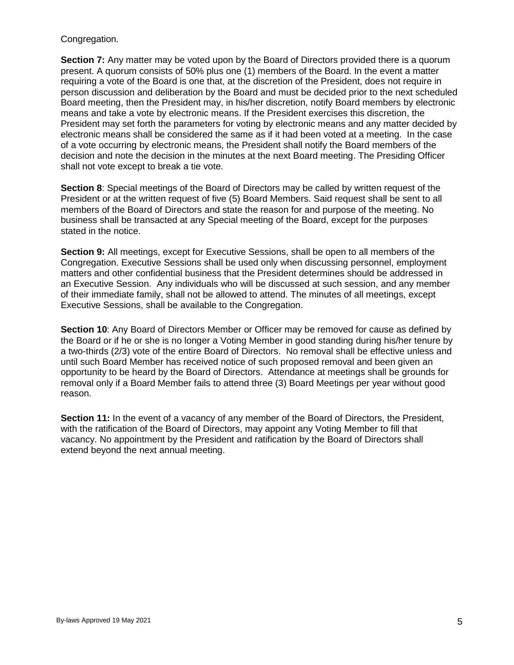#### Congregation.

**Section 7:** Any matter may be voted upon by the Board of Directors provided there is a quorum present. A quorum consists of 50% plus one (1) members of the Board. In the event a matter requiring a vote of the Board is one that, at the discretion of the President, does not require in person discussion and deliberation by the Board and must be decided prior to the next scheduled Board meeting, then the President may, in his/her discretion, notify Board members by electronic means and take a vote by electronic means. If the President exercises this discretion, the President may set forth the parameters for voting by electronic means and any matter decided by electronic means shall be considered the same as if it had been voted at a meeting. In the case of a vote occurring by electronic means, the President shall notify the Board members of the decision and note the decision in the minutes at the next Board meeting. The Presiding Officer shall not vote except to break a tie vote.

**Section 8**: Special meetings of the Board of Directors may be called by written request of the President or at the written request of five (5) Board Members. Said request shall be sent to all members of the Board of Directors and state the reason for and purpose of the meeting. No business shall be transacted at any Special meeting of the Board, except for the purposes stated in the notice.

**Section 9:** All meetings, except for Executive Sessions, shall be open to all members of the Congregation. Executive Sessions shall be used only when discussing personnel, employment matters and other confidential business that the President determines should be addressed in an Executive Session. Any individuals who will be discussed at such session, and any member of their immediate family, shall not be allowed to attend. The minutes of all meetings, except Executive Sessions, shall be available to the Congregation.

**Section 10**: Any Board of Directors Member or Officer may be removed for cause as defined by the Board or if he or she is no longer a Voting Member in good standing during his/her tenure by a two-thirds (2/3) vote of the entire Board of Directors. No removal shall be effective unless and until such Board Member has received notice of such proposed removal and been given an opportunity to be heard by the Board of Directors. Attendance at meetings shall be grounds for removal only if a Board Member fails to attend three (3) Board Meetings per year without good reason.

**Section 11:** In the event of a vacancy of any member of the Board of Directors, the President, with the ratification of the Board of Directors, may appoint any Voting Member to fill that vacancy. No appointment by the President and ratification by the Board of Directors shall extend beyond the next annual meeting.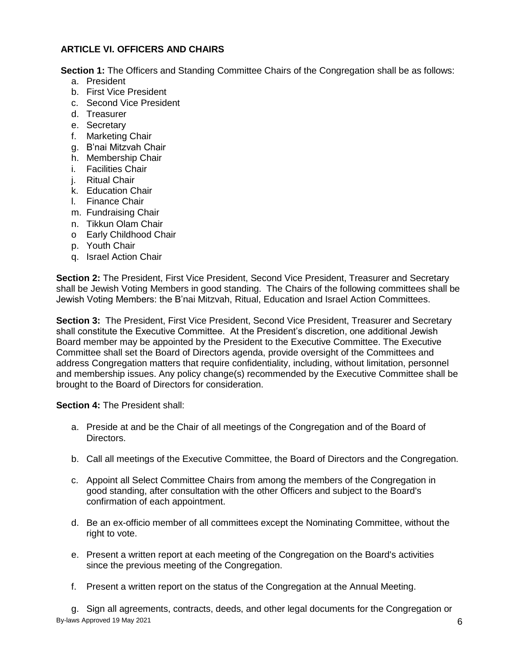# **ARTICLE VI. OFFICERS AND CHAIRS**

**Section 1:** The Officers and Standing Committee Chairs of the Congregation shall be as follows:

- a. President
- b. First Vice President
- c. Second Vice President
- d. Treasurer
- e. Secretary
- f. Marketing Chair
- g. B'nai Mitzvah Chair
- h. Membership Chair
- i. Facilities Chair
- j. Ritual Chair
- k. Education Chair
- l. Finance Chair
- m. Fundraising Chair
- n. Tikkun Olam Chair
- o Early Childhood Chair
- p. Youth Chair
- q. Israel Action Chair

**Section 2:** The President, First Vice President, Second Vice President, Treasurer and Secretary shall be Jewish Voting Members in good standing. The Chairs of the following committees shall be Jewish Voting Members: the B'nai Mitzvah, Ritual, Education and Israel Action Committees.

**Section 3:** The President, First Vice President, Second Vice President, Treasurer and Secretary shall constitute the Executive Committee. At the President's discretion, one additional Jewish Board member may be appointed by the President to the Executive Committee. The Executive Committee shall set the Board of Directors agenda, provide oversight of the Committees and address Congregation matters that require confidentiality, including, without limitation, personnel and membership issues. Any policy change(s) recommended by the Executive Committee shall be brought to the Board of Directors for consideration.

**Section 4:** The President shall:

- a. Preside at and be the Chair of all meetings of the Congregation and of the Board of Directors.
- b. Call all meetings of the Executive Committee, the Board of Directors and the Congregation.
- c. Appoint all Select Committee Chairs from among the members of the Congregation in good standing, after consultation with the other Officers and subject to the Board's confirmation of each appointment.
- d. Be an ex-officio member of all committees except the Nominating Committee, without the right to vote.
- e. Present a written report at each meeting of the Congregation on the Board's activities since the previous meeting of the Congregation.
- f. Present a written report on the status of the Congregation at the Annual Meeting.

 $By$ -laws Approved 19 May 2021 6 g. Sign all agreements, contracts, deeds, and other legal documents for the Congregation or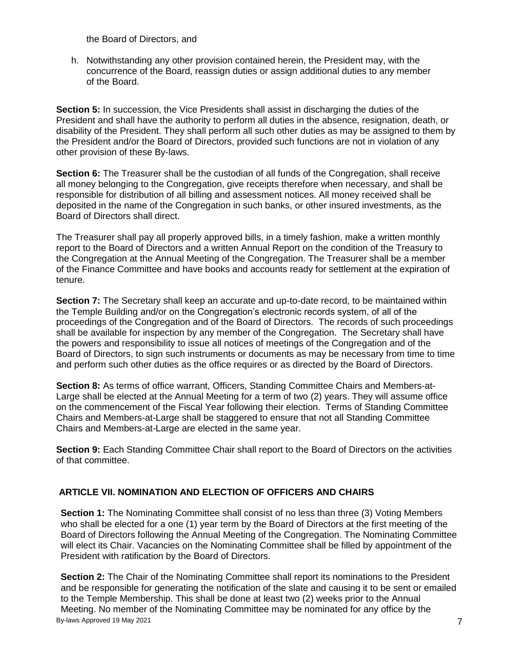the Board of Directors, and

h. Notwithstanding any other provision contained herein, the President may, with the concurrence of the Board, reassign duties or assign additional duties to any member of the Board.

**Section 5:** In succession, the Vice Presidents shall assist in discharging the duties of the President and shall have the authority to perform all duties in the absence, resignation, death, or disability of the President. They shall perform all such other duties as may be assigned to them by the President and/or the Board of Directors, provided such functions are not in violation of any other provision of these By-laws.

**Section 6:** The Treasurer shall be the custodian of all funds of the Congregation, shall receive all money belonging to the Congregation, give receipts therefore when necessary, and shall be responsible for distribution of all billing and assessment notices. All money received shall be deposited in the name of the Congregation in such banks, or other insured investments, as the Board of Directors shall direct.

The Treasurer shall pay all properly approved bills, in a timely fashion, make a written monthly report to the Board of Directors and a written Annual Report on the condition of the Treasury to the Congregation at the Annual Meeting of the Congregation. The Treasurer shall be a member of the Finance Committee and have books and accounts ready for settlement at the expiration of tenure.

**Section 7:** The Secretary shall keep an accurate and up-to-date record, to be maintained within the Temple Building and/or on the Congregation's electronic records system, of all of the proceedings of the Congregation and of the Board of Directors. The records of such proceedings shall be available for inspection by any member of the Congregation. The Secretary shall have the powers and responsibility to issue all notices of meetings of the Congregation and of the Board of Directors, to sign such instruments or documents as may be necessary from time to time and perform such other duties as the office requires or as directed by the Board of Directors.

**Section 8:** As terms of office warrant, Officers, Standing Committee Chairs and Members-at-Large shall be elected at the Annual Meeting for a term of two (2) years. They will assume office on the commencement of the Fiscal Year following their election. Terms of Standing Committee Chairs and Members-at-Large shall be staggered to ensure that not all Standing Committee Chairs and Members-at-Large are elected in the same year.

**Section 9:** Each Standing Committee Chair shall report to the Board of Directors on the activities of that committee.

# **ARTICLE VII. NOMINATION AND ELECTION OF OFFICERS AND CHAIRS**

**Section 1:** The Nominating Committee shall consist of no less than three (3) Voting Members who shall be elected for a one (1) year term by the Board of Directors at the first meeting of the Board of Directors following the Annual Meeting of the Congregation. The Nominating Committee will elect its Chair. Vacancies on the Nominating Committee shall be filled by appointment of the President with ratification by the Board of Directors.

By-laws Approved 19 May 2021 **7 Section 2:** The Chair of the Nominating Committee shall report its nominations to the President and be responsible for generating the notification of the slate and causing it to be sent or emailed to the Temple Membership. This shall be done at least two (2) weeks prior to the Annual Meeting. No member of the Nominating Committee may be nominated for any office by the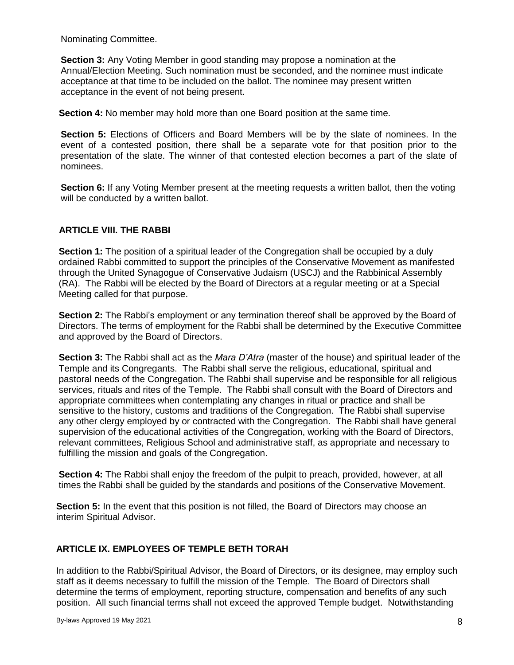Nominating Committee.

**Section 3:** Any Voting Member in good standing may propose a nomination at the Annual/Election Meeting. Such nomination must be seconded, and the nominee must indicate acceptance at that time to be included on the ballot. The nominee may present written acceptance in the event of not being present.

**Section 4:** No member may hold more than one Board position at the same time.

**Section 5:** Elections of Officers and Board Members will be by the slate of nominees. In the event of a contested position, there shall be a separate vote for that position prior to the presentation of the slate. The winner of that contested election becomes a part of the slate of nominees.

**Section 6:** If any Voting Member present at the meeting requests a written ballot, then the voting will be conducted by a written ballot.

### **ARTICLE VIII. THE RABBI**

**Section 1:** The position of a spiritual leader of the Congregation shall be occupied by a duly ordained Rabbi committed to support the principles of the Conservative Movement as manifested through the United Synagogue of Conservative Judaism (USCJ) and the Rabbinical Assembly (RA). The Rabbi will be elected by the Board of Directors at a regular meeting or at a Special Meeting called for that purpose.

**Section 2:** The Rabbi's employment or any termination thereof shall be approved by the Board of Directors. The terms of employment for the Rabbi shall be determined by the Executive Committee and approved by the Board of Directors.

**Section 3:** The Rabbi shall act as the *Mara D'Atra* (master of the house) and spiritual leader of the Temple and its Congregants. The Rabbi shall serve the religious, educational, spiritual and pastoral needs of the Congregation. The Rabbi shall supervise and be responsible for all religious services, rituals and rites of the Temple. The Rabbi shall consult with the Board of Directors and appropriate committees when contemplating any changes in ritual or practice and shall be sensitive to the history, customs and traditions of the Congregation. The Rabbi shall supervise any other clergy employed by or contracted with the Congregation. The Rabbi shall have general supervision of the educational activities of the Congregation, working with the Board of Directors, relevant committees, Religious School and administrative staff, as appropriate and necessary to fulfilling the mission and goals of the Congregation.

**Section 4:** The Rabbi shall enjoy the freedom of the pulpit to preach, provided, however, at all times the Rabbi shall be guided by the standards and positions of the Conservative Movement.

**Section 5:** In the event that this position is not filled, the Board of Directors may choose an interim Spiritual Advisor.

### **ARTICLE IX. EMPLOYEES OF TEMPLE BETH TORAH**

In addition to the Rabbi/Spiritual Advisor, the Board of Directors, or its designee, may employ such staff as it deems necessary to fulfill the mission of the Temple. The Board of Directors shall determine the terms of employment, reporting structure, compensation and benefits of any such position. All such financial terms shall not exceed the approved Temple budget. Notwithstanding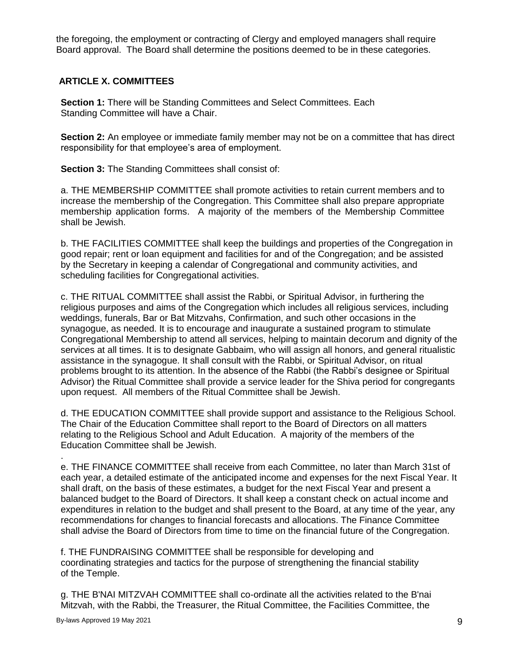the foregoing, the employment or contracting of Clergy and employed managers shall require Board approval. The Board shall determine the positions deemed to be in these categories.

# **ARTICLE X. COMMITTEES**

**Section 1:** There will be Standing Committees and Select Committees. Each Standing Committee will have a Chair.

**Section 2:** An employee or immediate family member may not be on a committee that has direct responsibility for that employee's area of employment.

**Section 3:** The Standing Committees shall consist of:

a. THE MEMBERSHIP COMMITTEE shall promote activities to retain current members and to increase the membership of the Congregation. This Committee shall also prepare appropriate membership application forms. A majority of the members of the Membership Committee shall be Jewish.

b. THE FACILITIES COMMITTEE shall keep the buildings and properties of the Congregation in good repair; rent or loan equipment and facilities for and of the Congregation; and be assisted by the Secretary in keeping a calendar of Congregational and community activities, and scheduling facilities for Congregational activities.

c. THE RITUAL COMMITTEE shall assist the Rabbi, or Spiritual Advisor, in furthering the religious purposes and aims of the Congregation which includes all religious services, including weddings, funerals, Bar or Bat Mitzvahs, Confirmation, and such other occasions in the synagogue, as needed. It is to encourage and inaugurate a sustained program to stimulate Congregational Membership to attend all services, helping to maintain decorum and dignity of the services at all times. It is to designate Gabbaim, who will assign all honors, and general ritualistic assistance in the synagogue. It shall consult with the Rabbi, or Spiritual Advisor, on ritual problems brought to its attention. In the absence of the Rabbi (the Rabbi's designee or Spiritual Advisor) the Ritual Committee shall provide a service leader for the Shiva period for congregants upon request. All members of the Ritual Committee shall be Jewish.

d. THE EDUCATION COMMITTEE shall provide support and assistance to the Religious School. The Chair of the Education Committee shall report to the Board of Directors on all matters relating to the Religious School and Adult Education. A majority of the members of the Education Committee shall be Jewish.

e. THE FINANCE COMMITTEE shall receive from each Committee, no later than March 31st of each year, a detailed estimate of the anticipated income and expenses for the next Fiscal Year. It shall draft, on the basis of these estimates, a budget for the next Fiscal Year and present a balanced budget to the Board of Directors. It shall keep a constant check on actual income and expenditures in relation to the budget and shall present to the Board, at any time of the year, any recommendations for changes to financial forecasts and allocations. The Finance Committee shall advise the Board of Directors from time to time on the financial future of the Congregation.

f. THE FUNDRAISING COMMITTEE shall be responsible for developing and coordinating strategies and tactics for the purpose of strengthening the financial stability of the Temple.

g. THE B'NAI MITZVAH COMMITTEE shall co-ordinate all the activities related to the B'nai Mitzvah, with the Rabbi, the Treasurer, the Ritual Committee, the Facilities Committee, the

.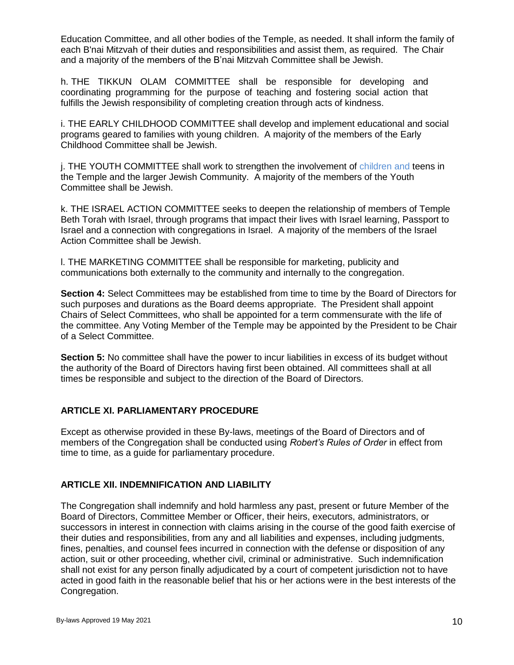Education Committee, and all other bodies of the Temple, as needed. It shall inform the family of each B'nai Mitzvah of their duties and responsibilities and assist them, as required. The Chair and a majority of the members of the B'nai Mitzvah Committee shall be Jewish.

h. THE TIKKUN OLAM COMMITTEE shall be responsible for developing and coordinating programming for the purpose of teaching and fostering social action that fulfills the Jewish responsibility of completing creation through acts of kindness.

i. THE EARLY CHILDHOOD COMMITTEE shall develop and implement educational and social programs geared to families with young children. A majority of the members of the Early Childhood Committee shall be Jewish.

j. THE YOUTH COMMITTEE shall work to strengthen the involvement of children and teens in the Temple and the larger Jewish Community. A majority of the members of the Youth Committee shall be Jewish.

k. THE ISRAEL ACTION COMMITTEE seeks to deepen the relationship of members of Temple Beth Torah with Israel, through programs that impact their lives with Israel learning, Passport to Israel and a connection with congregations in Israel. A majority of the members of the Israel Action Committee shall be Jewish.

l. THE MARKETING COMMITTEE shall be responsible for marketing, publicity and communications both externally to the community and internally to the congregation.

**Section 4:** Select Committees may be established from time to time by the Board of Directors for such purposes and durations as the Board deems appropriate. The President shall appoint Chairs of Select Committees, who shall be appointed for a term commensurate with the life of the committee. Any Voting Member of the Temple may be appointed by the President to be Chair of a Select Committee.

**Section 5:** No committee shall have the power to incur liabilities in excess of its budget without the authority of the Board of Directors having first been obtained. All committees shall at all times be responsible and subject to the direction of the Board of Directors.

### **ARTICLE XI. PARLIAMENTARY PROCEDURE**

Except as otherwise provided in these By-laws, meetings of the Board of Directors and of members of the Congregation shall be conducted using *Robert's Rules of Order* in effect from time to time, as a guide for parliamentary procedure.

### **ARTICLE XII. INDEMNIFICATION AND LIABILITY**

The Congregation shall indemnify and hold harmless any past, present or future Member of the Board of Directors, Committee Member or Officer, their heirs, executors, administrators, or successors in interest in connection with claims arising in the course of the good faith exercise of their duties and responsibilities, from any and all liabilities and expenses, including judgments, fines, penalties, and counsel fees incurred in connection with the defense or disposition of any action, suit or other proceeding, whether civil, criminal or administrative. Such indemnification shall not exist for any person finally adjudicated by a court of competent jurisdiction not to have acted in good faith in the reasonable belief that his or her actions were in the best interests of the Congregation.